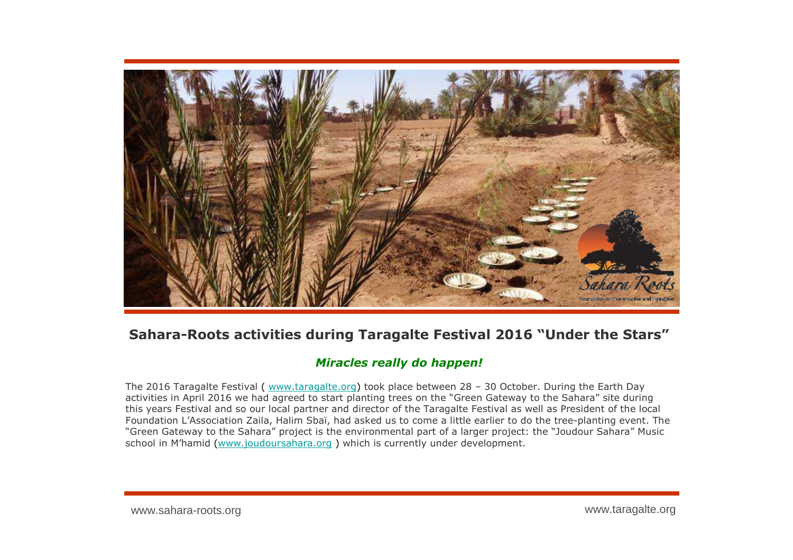

## **Sahara-Roots activities during Taragalte Festival 2016 "Under the Stars"**

## *Miracles really do happen!*

The 2016 Taragalte Festival ( www.taragalte.org) took place between 28 - 30 October. During the Earth Day activities in April 2016 we had agreed to start planting trees on the "Green Gateway to the Sahara" site during this years Festival and so our local partner and director of the Taragalte Festival as well as President of the local Foundation L'Association Zaila, Halim Sbaï, had asked us to come a little earlier to do the tree-planting event. The "Green Gateway to the Sahara" project is the environmental part of a larger project: the "Joudour Sahara" Music school in M'hamid (<u>www.joudoursahara.org</u> ) which is currently under development.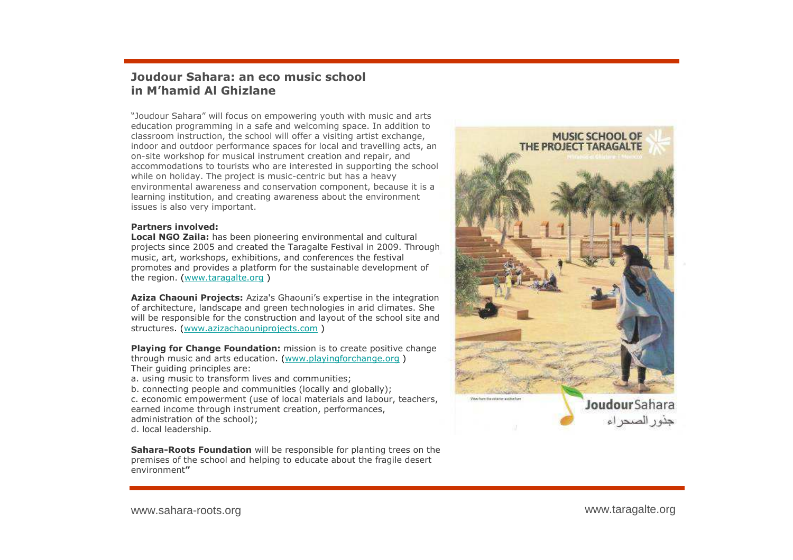## **Joudour Sahara: an eco music school in M'hamid Al Ghizlane**

"Joudour Sahara" will focus on empowering youth with music and arts education programming in a safe and welcoming space. In addition to classroom instruction, the school will offer a visiting artist exchange, indoor and outdoor performance spaces for local and travelling acts, an on-site workshop for musical instrument creation and repair, and accommodations to tourists who are interested in supporting the school while on holiday. The project is music-centric but has a heavy environmental awareness and conservation component, because it is a measure of the synthesis and creation awareness about the environment learning institution, and creating awareness about the environment issues is also very important.

## **Partners involved:**

 **Local NGO Zaila:** has been pioneering environmental and cultural projects since 2005 and created the Taragalte Festival in 2009. Through music, art, workshops, exhibitions, and conferences the festivalpromotes and provides a platform for the sustainable development of the region (www.taragalte.org) the region. (<u>www.taragalte.org</u> )

**Aziza Chaouni Projects:** Aziza's Ghaouni's expertise in the integration of architecture, landscape and green technologies in arid climates. She will be responsible for the construction and layout of the school site and structures. (<u>www.azizachaouniprojects.com</u>)

**Playing for Change Foundation:** mission is to create positive change through music and arts education. (www.playingforchange.org )<br>T Their guiding principles are:

a. using music to transform lives and communities;

b. connecting people and communities (locally and globally);

 c. economic empowerment (use of local materials and labour, teachers, earned income through instrument creation, performances, administration of the school); d. local leadership.

**Sahara-Roots Foundation** will be responsible for planting trees on the premises of the school and helping to educate about the fragile desert environment**"**

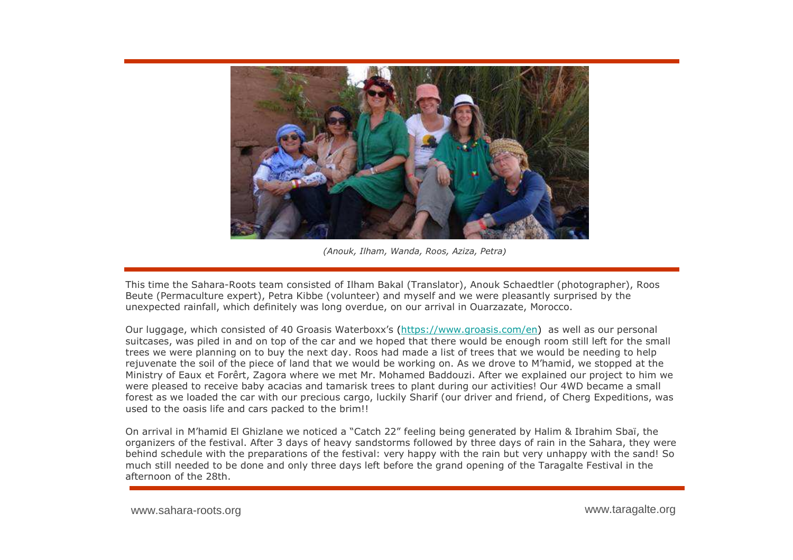

*(Anouk, Ilham, Wanda, Roos, Aziza, Petra)*

This time the Sahara-Roots team consisted of Ilham Bakal (Translator), Anouk Schaedtler (photographer), Roos Beute (Permaculture expert), Petra Kibbe (volunteer) and myself and we were pleasantly surprised by the unexpected rainfall, which definitely was long overdue, on our arrival in Ouarzazate, Morocco.

Our luggage, which consisted of 40 Groasis Waterboxx's (https://www.groasis.com/en) as well as our personal suitcases, was piled in and on top of the car and we hoped that there would be enough room still left for the small trees we were planning on to buy the next day. Roos had made a list of trees that we would be needing to help rejuvenate the soil of the piece of land that we would be working on. As we drove to M'hamid, we stopped at the Ministry of Eaux et Forêrt, Zagora where we met Mr. Mohamed Baddouzi. After we explained our project to him we<br>were pleased to receive baby acacias and tamarisk trees to plant during our activities! Our 4WD became a small were pleased to receive baby acacias and tamarisk trees to plant during our activities! Our 4WD became a small forest as we loaded the car with our precious cargo, luckily Sharif (our driver and friend, of Cherg Expeditions, was used to the oasis life and cars packed to the brim!!

On arrival in M'hamid El Ghizlane we noticed a "Catch 22" feeling being generated by Halim & Ibrahim Sbaï, the organizers of the festival. After 3 days of heavy sandstorms followed by three days of rain in the Sahara, they were behind schedule with the preparations of the festival: very happy with the rain but very unhappy with the sand! So much still needed to be done and only three days left before the grand opening of the Taragalte Festival in the afternoon of the 28th.

www.sahara-roots.org

www.taragalte.org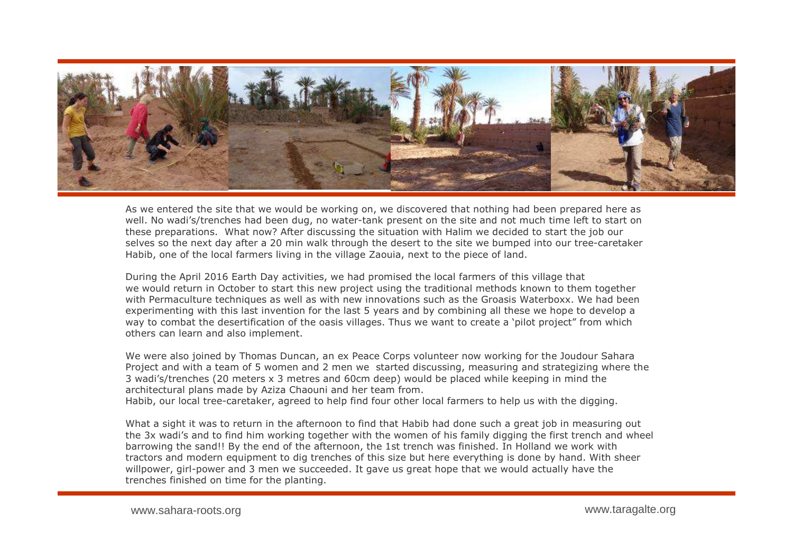

As we entered the site that we would be working on, we discovered that nothing had been prepared here as well. No wadi's/trenches had been dug, no water-tank present on the site and not much time left to start on these preparations. What now? After discussing the situation with Halim we decided to start the job our selves so the next day after a 20 min walk through the desert to the site we bumped into our tree-caretaker Habib, one of the local farmers living in the village Zaouia, next to the piece of land.

During the April 2016 Earth Day activities, we had promised the local farmers of this village that we would return in October to start this new project using the traditional methods known to them together with Permaculture techniques as well as with new innovations such as the Groasis Waterboxx. We had been<br>experimenting with this last invention for the last 5 years and by combining all these we hone to develop a experimenting with this last invention for the last 5 years and by combining all these we hope to develop a way to combat the desertification of the oasis villages. Thus we want to create a `pilot project" from which<br>others can learn and also implement others can learn and also implement.

We were also joined by Thomas Duncan, an ex Peace Corps volunteer now working for the Joudour Sahara Project and with a team of 5 women and 2 men we started discussing, measuring and strategizing where the 3 wadi's/trenches (20 meters x 3 metres and 60cm deep) would be placed while keeping in mind the architectural plans made by Aziza Chaouni and her team from.

Habib, our local tree-caretaker, agreed to help find four other local farmers to help us with the digging.

What a sight it was to return in the afternoon to find that Habib had done such a great job in measuring out the 3x wadi's and to find him working together with the women of his family digging the first trench and wheel barrowing the sand!! By the end of the afternoon, the 1st trench was finished. In Holland we work with tractors and modern equipment to dig trenches of this size but here everything is done by hand. With sheer willpower, girl-power and 3 men we succeeded. It gave us great hope that we would actually have the trenches finished on time for the planting.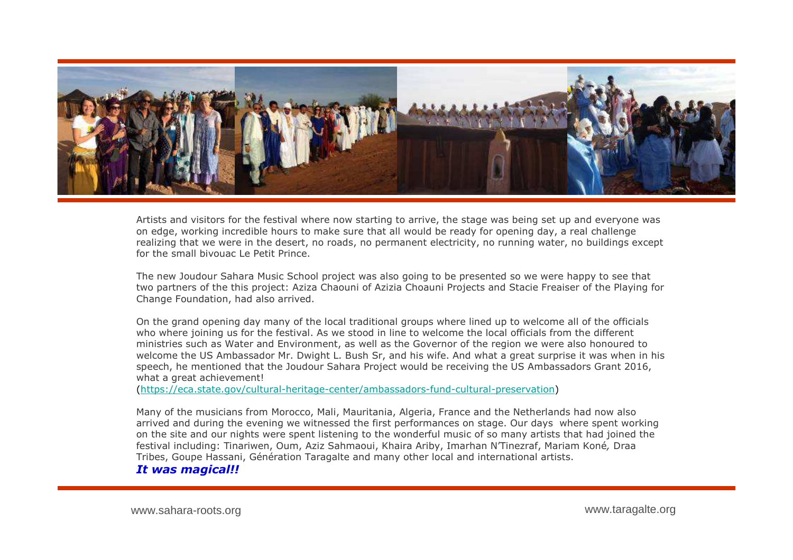

Artists and visitors for the festival where now starting to arrive, the stage was being set up and everyone was on edge, working incredible hours to make sure that all would be ready for opening day, a real challenge realizing that we were in the desert, no roads, no permanent electricity, no running water, no buildings except for the small bivouac Le Petit Prince.

The new Joudour Sahara Music School project was also going to be presented so we were happy to see that two partners of the this project: Aziza Chaouni of Azizia Choauni Projects and Stacie Freaiser of the Playing for Change Foundation, had also arrived.

On the grand opening day many of the local traditional groups where lined up to welcome all of the officials who where joining us for the festival. As we stood in line to welcome the local officials from the different ministries such as Water and Environment, as well as the Governor of the region we were also honoured to welcome the US Ambassador Mr. Dwight L. Bush Sr, and his wife. And what a great surprise it was when in his<br>speech, he mentioned that the Joudour Sabara Project would be receiving the US Ambassadors Grant 2016 speech, he mentioned that the Joudour Sahara Project would be receiving the US Ambassadors Grant 2016, what a great achievement!

(https://eca.state.gov/cultural-heritage-center/ambassadors-fund-cultural-preservation)

Many of the musicians from Morocco, Mali, Mauritania, Algeria, France and the Netherlands had now also arrived and during the evening we witnessed the first performances on stage. Our days where spent working on the site and our nights were spent listening to the wonderful music of so many artists that had joined the festival including: Tinariwen, Oum, Aziz Sahmaoui, Khaira Ariby, Imarhan N'Tinezraf, Mariam Koné*,* Draa Tribes, Goupe Hassani, Génération Taragalte and many other local and international artists. *It was magical!!*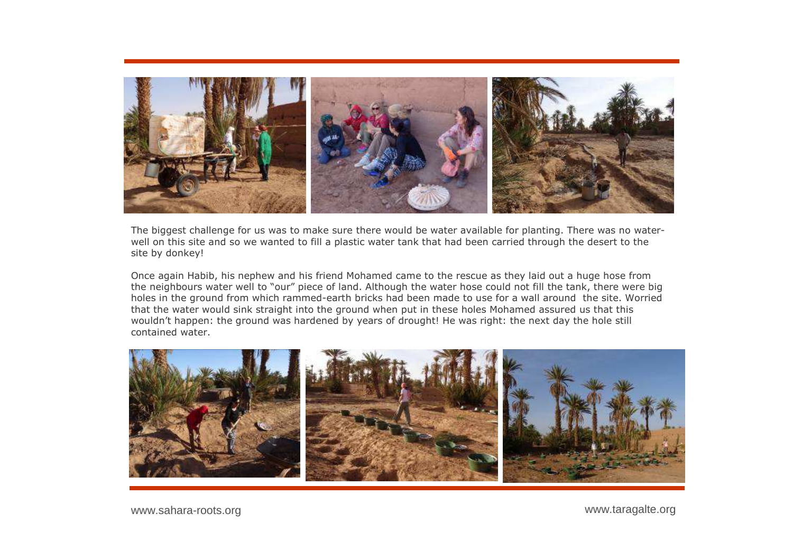

The biggest challenge for us was to make sure there would be water available for planting. There was no waterwell on this site and so we wanted to fill a plastic water tank that had been carried through the desert to the site by donkey!

Once again Habib, his nephew and his friend Mohamed came to the rescue as they laid out a huge hose from the neighbours water well to "our" piece of land. Although the water hose could not fill the tank, there were big<br>holes in the ground from which rammed-earth bricks had been made to use for a wall around, the site. Worried holes in the ground from which rammed-earth bricks had been made to use for a wall around the site. Worried that the water would sink straight into the ground when put in these holes Mohamed assured us that this wouldn't happen: the ground was hardened by years of drought! He was right: the next day the hole still contained water.



www.taragalte.org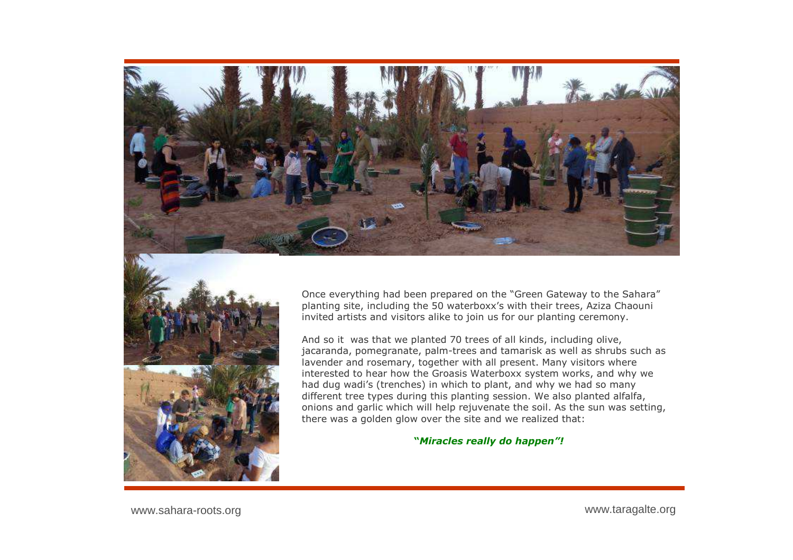



Once everything had been prepared on the "Green Gateway to the Sahara"planting site, including the 50 waterboxx's with their trees, Aziza Chaouni<br>invited artists and visitors alike to join us for our planting ceremony invited artists and visitors alike to join us for our planting ceremony.

And so it was that we planted 70 trees of all kinds, including olive, jacaranda, pomegranate, palm-trees and tamarisk as well as shrubs such as lavender and rosemary, together with all present. Many visitors where interested to hear how the Groasis Waterboxx system works, and why we<br>had dug wadi's (trenches) in which to plant, and why we had so many had dug wadi's (trenches) in which to plant, and why we had so many different tree types during this planting session. We also planted alfalfa, onions and garlic which will help rejuvenate the soil. As the sun was setting, there was a golden glow over the site and we realized that:

**"***Miracles really do happen"!*

www.sahara-roots.org